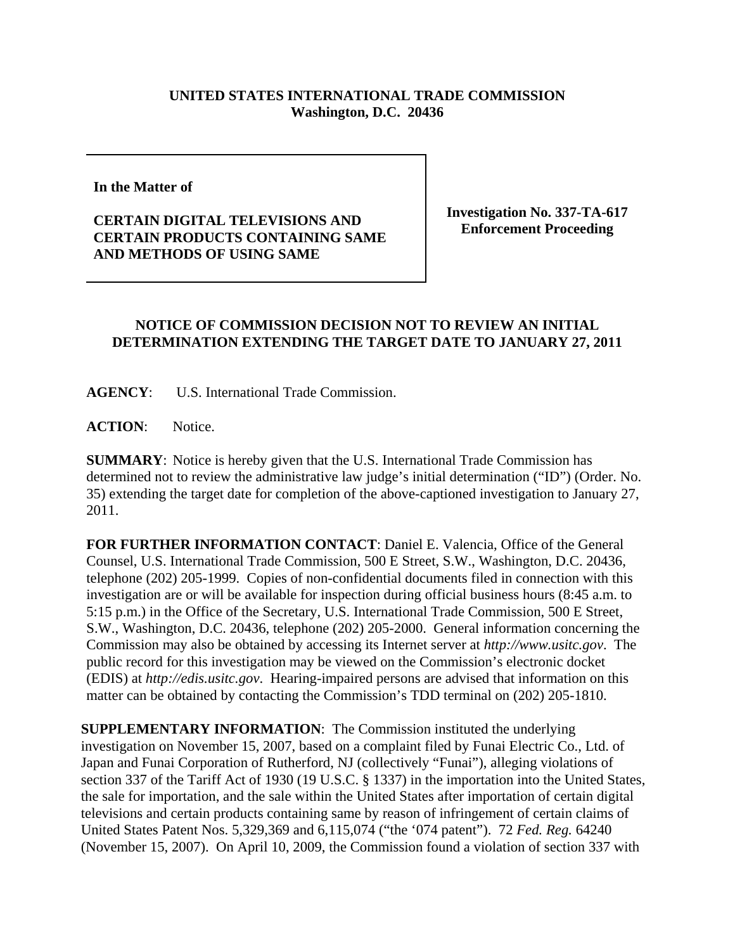## **UNITED STATES INTERNATIONAL TRADE COMMISSION Washington, D.C. 20436**

**In the Matter of** 

**CERTAIN DIGITAL TELEVISIONS AND CERTAIN PRODUCTS CONTAINING SAME AND METHODS OF USING SAME**

**Investigation No. 337-TA-617 Enforcement Proceeding**

## **NOTICE OF COMMISSION DECISION NOT TO REVIEW AN INITIAL DETERMINATION EXTENDING THE TARGET DATE TO JANUARY 27, 2011**

**AGENCY**: U.S. International Trade Commission.

**ACTION**: Notice.

**SUMMARY**: Notice is hereby given that the U.S. International Trade Commission has determined not to review the administrative law judge's initial determination ("ID") (Order. No. 35) extending the target date for completion of the above-captioned investigation to January 27, 2011.

**FOR FURTHER INFORMATION CONTACT**: Daniel E. Valencia, Office of the General Counsel, U.S. International Trade Commission, 500 E Street, S.W., Washington, D.C. 20436, telephone (202) 205-1999. Copies of non-confidential documents filed in connection with this investigation are or will be available for inspection during official business hours (8:45 a.m. to 5:15 p.m.) in the Office of the Secretary, U.S. International Trade Commission, 500 E Street, S.W., Washington, D.C. 20436, telephone (202) 205-2000. General information concerning the Commission may also be obtained by accessing its Internet server at *http://www.usitc.gov*. The public record for this investigation may be viewed on the Commission's electronic docket (EDIS) at *http://edis.usitc.gov*. Hearing-impaired persons are advised that information on this matter can be obtained by contacting the Commission's TDD terminal on (202) 205-1810.

**SUPPLEMENTARY INFORMATION**: The Commission instituted the underlying investigation on November 15, 2007, based on a complaint filed by Funai Electric Co., Ltd. of Japan and Funai Corporation of Rutherford, NJ (collectively "Funai"), alleging violations of section 337 of the Tariff Act of 1930 (19 U.S.C. § 1337) in the importation into the United States, the sale for importation, and the sale within the United States after importation of certain digital televisions and certain products containing same by reason of infringement of certain claims of United States Patent Nos. 5,329,369 and 6,115,074 ("the '074 patent"). 72 *Fed. Reg.* 64240 (November 15, 2007). On April 10, 2009, the Commission found a violation of section 337 with